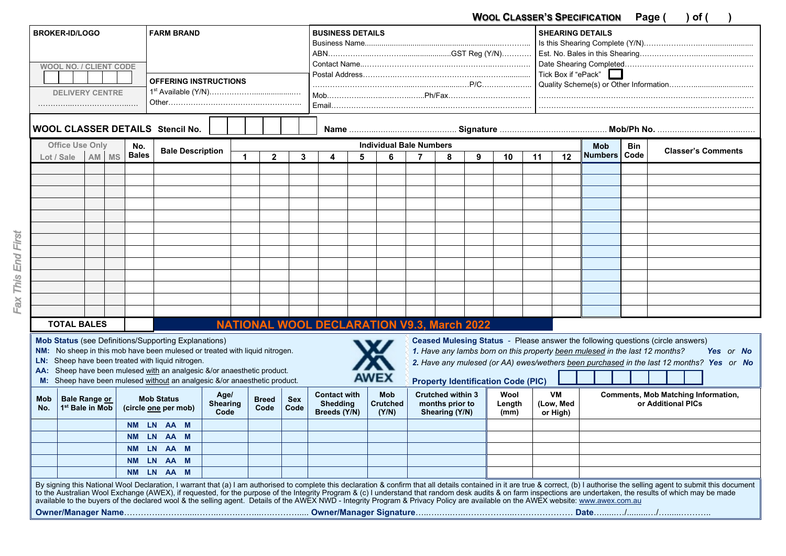**WOOL CLASSER'S SPECIFICATION Page ( ) of ( )** 

|                                                                                                                                                                                                                                                                                                                                                                                                                                                                                                                                                                                                                                         | <b>BROKER-ID/LOGO</b>                               |  |                       |            | <b>FARM BRAND</b>                         |  |                         |                      |                |                                | <b>BUSINESS DETAILS</b>                   |  |                                                   |                                                               |  |                     |                |            | <b>SHEARING DETAILS</b> |                           |  |                                            |  |
|-----------------------------------------------------------------------------------------------------------------------------------------------------------------------------------------------------------------------------------------------------------------------------------------------------------------------------------------------------------------------------------------------------------------------------------------------------------------------------------------------------------------------------------------------------------------------------------------------------------------------------------------|-----------------------------------------------------|--|-----------------------|------------|-------------------------------------------|--|-------------------------|----------------------|----------------|--------------------------------|-------------------------------------------|--|---------------------------------------------------|---------------------------------------------------------------|--|---------------------|----------------|------------|-------------------------|---------------------------|--|--------------------------------------------|--|
| <b>WOOL NO. / CLIENT CODE</b>                                                                                                                                                                                                                                                                                                                                                                                                                                                                                                                                                                                                           |                                                     |  |                       |            |                                           |  |                         |                      |                |                                |                                           |  |                                                   |                                                               |  |                     |                |            |                         |                           |  |                                            |  |
|                                                                                                                                                                                                                                                                                                                                                                                                                                                                                                                                                                                                                                         |                                                     |  |                       |            |                                           |  |                         |                      |                |                                |                                           |  |                                                   |                                                               |  | Tick Box if "ePack" |                |            |                         |                           |  |                                            |  |
| <b>OFFERING INSTRUCTIONS</b>                                                                                                                                                                                                                                                                                                                                                                                                                                                                                                                                                                                                            |                                                     |  |                       |            |                                           |  |                         |                      |                |                                |                                           |  |                                                   |                                                               |  |                     |                |            |                         |                           |  |                                            |  |
| <b>DELIVERY CENTRE</b>                                                                                                                                                                                                                                                                                                                                                                                                                                                                                                                                                                                                                  |                                                     |  |                       |            |                                           |  |                         |                      |                |                                |                                           |  |                                                   |                                                               |  |                     |                |            |                         |                           |  |                                            |  |
|                                                                                                                                                                                                                                                                                                                                                                                                                                                                                                                                                                                                                                         |                                                     |  |                       |            |                                           |  |                         |                      |                |                                |                                           |  |                                                   |                                                               |  |                     |                |            |                         |                           |  |                                            |  |
| WOOL CLASSER DETAILS Stencil No.                                                                                                                                                                                                                                                                                                                                                                                                                                                                                                                                                                                                        |                                                     |  |                       |            |                                           |  |                         |                      |                |                                |                                           |  |                                                   |                                                               |  |                     |                |            |                         |                           |  |                                            |  |
| <b>Office Use Only</b>                                                                                                                                                                                                                                                                                                                                                                                                                                                                                                                                                                                                                  |                                                     |  |                       | No.        | <b>Bale Description</b>                   |  |                         |                      |                | <b>Individual Bale Numbers</b> |                                           |  |                                                   |                                                               |  |                     |                | <b>Mob</b> | Bin                     | <b>Classer's Comments</b> |  |                                            |  |
|                                                                                                                                                                                                                                                                                                                                                                                                                                                                                                                                                                                                                                         | Lot / Sale                                          |  | <b>Bales</b><br>AM MS |            |                                           |  |                         |                      | $\overline{2}$ | 3                              | 5<br>4                                    |  | 6                                                 | 7<br>8                                                        |  | 9                   | 10             | 11         | 12                      | Numbers Code              |  |                                            |  |
|                                                                                                                                                                                                                                                                                                                                                                                                                                                                                                                                                                                                                                         |                                                     |  |                       |            |                                           |  |                         |                      |                |                                |                                           |  |                                                   |                                                               |  |                     |                |            |                         |                           |  |                                            |  |
|                                                                                                                                                                                                                                                                                                                                                                                                                                                                                                                                                                                                                                         |                                                     |  |                       |            |                                           |  |                         |                      |                |                                |                                           |  |                                                   |                                                               |  |                     |                |            |                         |                           |  |                                            |  |
|                                                                                                                                                                                                                                                                                                                                                                                                                                                                                                                                                                                                                                         |                                                     |  |                       |            |                                           |  |                         |                      |                |                                |                                           |  |                                                   |                                                               |  |                     |                |            |                         |                           |  |                                            |  |
|                                                                                                                                                                                                                                                                                                                                                                                                                                                                                                                                                                                                                                         |                                                     |  |                       |            |                                           |  |                         |                      |                |                                |                                           |  |                                                   |                                                               |  |                     |                |            |                         |                           |  |                                            |  |
|                                                                                                                                                                                                                                                                                                                                                                                                                                                                                                                                                                                                                                         |                                                     |  |                       |            |                                           |  |                         |                      |                |                                |                                           |  |                                                   |                                                               |  |                     |                |            |                         |                           |  |                                            |  |
|                                                                                                                                                                                                                                                                                                                                                                                                                                                                                                                                                                                                                                         |                                                     |  |                       |            |                                           |  |                         |                      |                |                                |                                           |  |                                                   |                                                               |  |                     |                |            |                         |                           |  |                                            |  |
|                                                                                                                                                                                                                                                                                                                                                                                                                                                                                                                                                                                                                                         |                                                     |  |                       |            |                                           |  |                         |                      |                |                                |                                           |  |                                                   |                                                               |  |                     |                |            |                         |                           |  |                                            |  |
|                                                                                                                                                                                                                                                                                                                                                                                                                                                                                                                                                                                                                                         |                                                     |  |                       |            |                                           |  |                         |                      |                |                                |                                           |  |                                                   |                                                               |  |                     |                |            |                         |                           |  |                                            |  |
|                                                                                                                                                                                                                                                                                                                                                                                                                                                                                                                                                                                                                                         |                                                     |  |                       |            |                                           |  |                         |                      |                |                                |                                           |  |                                                   |                                                               |  |                     |                |            |                         |                           |  |                                            |  |
|                                                                                                                                                                                                                                                                                                                                                                                                                                                                                                                                                                                                                                         |                                                     |  |                       |            |                                           |  |                         |                      |                |                                |                                           |  |                                                   |                                                               |  |                     |                |            |                         |                           |  |                                            |  |
|                                                                                                                                                                                                                                                                                                                                                                                                                                                                                                                                                                                                                                         |                                                     |  |                       |            |                                           |  |                         |                      |                |                                |                                           |  |                                                   |                                                               |  |                     |                |            |                         |                           |  |                                            |  |
|                                                                                                                                                                                                                                                                                                                                                                                                                                                                                                                                                                                                                                         |                                                     |  |                       |            |                                           |  |                         |                      |                |                                |                                           |  |                                                   |                                                               |  |                     |                |            |                         |                           |  |                                            |  |
|                                                                                                                                                                                                                                                                                                                                                                                                                                                                                                                                                                                                                                         |                                                     |  |                       |            |                                           |  |                         |                      |                |                                |                                           |  |                                                   |                                                               |  |                     |                |            |                         |                           |  |                                            |  |
|                                                                                                                                                                                                                                                                                                                                                                                                                                                                                                                                                                                                                                         | <b>TOTAL BALES</b>                                  |  |                       |            |                                           |  |                         |                      |                |                                |                                           |  | <b>NATIONAL WOOL DECLARATION V9.3, March 2022</b> |                                                               |  |                     |                |            |                         |                           |  |                                            |  |
| <b>Mob Status (see Definitions/Supporting Explanations)</b><br>Ceased Mulesing Status - Please answer the following questions (circle answers)<br>NM: No sheep in this mob have been mulesed or treated with liquid nitrogen.<br>1. Have any lambs born on this property been mulesed in the last 12 months?<br>Yes or No<br>LN: Sheep have been treated with liquid nitrogen.<br>2. Have any mulesed (or AA) ewes/wethers been purchased in the last 12 months? Yes or No<br>AA: Sheep have been mulesed with an analgesic &/or anaesthetic product.                                                                                   |                                                     |  |                       |            |                                           |  |                         |                      |                |                                |                                           |  |                                                   |                                                               |  |                     |                |            |                         |                           |  |                                            |  |
| Sheep have been mulesed without an analgesic &/or anaesthetic product.<br>M:                                                                                                                                                                                                                                                                                                                                                                                                                                                                                                                                                            |                                                     |  |                       |            |                                           |  | <b>AWEX</b>             |                      |                |                                | <b>Property Identification Code (PIC)</b> |  |                                                   |                                                               |  |                     |                |            |                         |                           |  |                                            |  |
|                                                                                                                                                                                                                                                                                                                                                                                                                                                                                                                                                                                                                                         |                                                     |  |                       |            |                                           |  | Age/                    |                      |                |                                | <b>Contact with</b>                       |  | <b>Mob</b>                                        |                                                               |  |                     | Wool           |            | VM                      |                           |  | <b>Comments, Mob Matching Information,</b> |  |
| Mob<br>No.                                                                                                                                                                                                                                                                                                                                                                                                                                                                                                                                                                                                                              | <b>Bale Range or</b><br>1 <sup>st</sup> Bale in Mob |  |                       |            | <b>Mob Status</b><br>(circle one per mob) |  | <b>Shearing</b><br>Code | <b>Breed</b><br>Code |                | <b>Sex</b><br>Code             | <b>Shedding</b><br>Breeds (Y/N)           |  | <b>Crutched</b><br>(Y/N)                          | <b>Crutched within 3</b><br>months prior to<br>Shearing (Y/N) |  |                     | Length<br>(mm) |            | (Low, Med<br>or High)   | or Additional PICs        |  |                                            |  |
|                                                                                                                                                                                                                                                                                                                                                                                                                                                                                                                                                                                                                                         |                                                     |  |                       | <b>NM</b>  | LN AA M                                   |  |                         |                      |                |                                |                                           |  |                                                   |                                                               |  |                     |                |            |                         |                           |  |                                            |  |
|                                                                                                                                                                                                                                                                                                                                                                                                                                                                                                                                                                                                                                         |                                                     |  |                       | NM LN AA M |                                           |  |                         |                      |                |                                |                                           |  |                                                   |                                                               |  |                     |                |            |                         |                           |  |                                            |  |
|                                                                                                                                                                                                                                                                                                                                                                                                                                                                                                                                                                                                                                         |                                                     |  |                       | NM LN AA M |                                           |  |                         |                      |                |                                |                                           |  |                                                   |                                                               |  |                     |                |            |                         |                           |  |                                            |  |
|                                                                                                                                                                                                                                                                                                                                                                                                                                                                                                                                                                                                                                         |                                                     |  |                       | NM LN AA M |                                           |  |                         |                      |                |                                |                                           |  |                                                   |                                                               |  |                     |                |            |                         |                           |  |                                            |  |
|                                                                                                                                                                                                                                                                                                                                                                                                                                                                                                                                                                                                                                         |                                                     |  |                       | NM LN AA M |                                           |  |                         |                      |                |                                |                                           |  |                                                   |                                                               |  |                     |                |            |                         |                           |  |                                            |  |
| By signing this National Wool Declaration, I warrant that (a) I am authorised to complete this declaration & confirm that all details contained in it are true & correct, (b) I authorise the selling agent to submit this doc<br>to the Australian Wool Exchange (AWEX), if requested, for the purpose of the Integrity Program & (c) I understand that random desk audits & on farm inspections are undertaken, the results of which may be made<br>available to the buyers of the declared wool & the selling agent. Details of the AWEX NWD - Integrity Program & Privacy Policy are available on the AWEX website: www.awex.com.au |                                                     |  |                       |            |                                           |  |                         |                      |                |                                |                                           |  |                                                   |                                                               |  |                     |                |            |                         |                           |  |                                            |  |